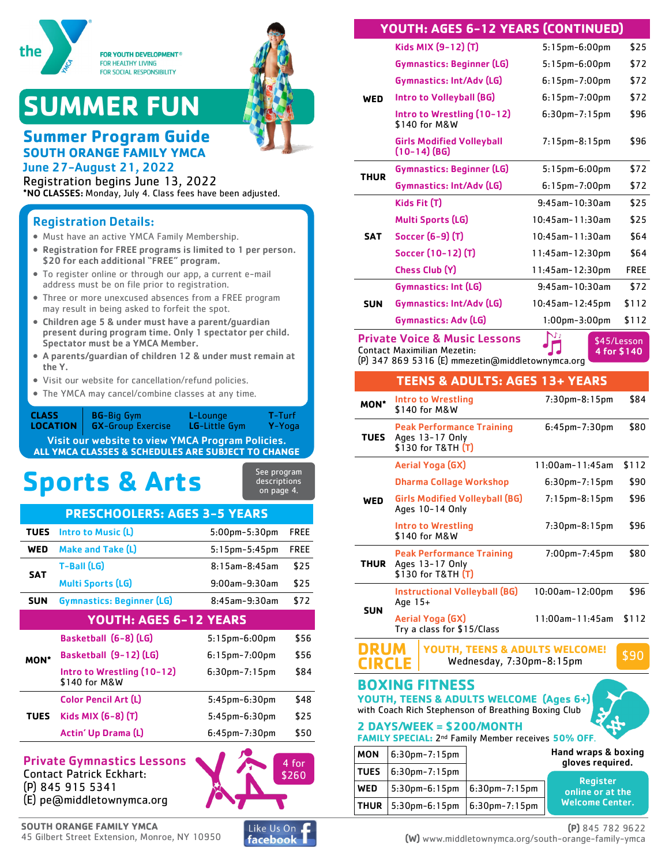

# **SUMMER FUN**



### **Summer Program Guide SOUTH ORANGE FAMILY YMCA**

June 27-August 21, 2022 Registration begins June 13, 2022 \*NO CLASSES: Monday, July 4. Class fees have been adjusted.

#### Registration Details:

- Must have an active YMCA Family Membership.
- Registration for FREE programs is limited to 1 per person. \$20 for each additional "FREE" program.
- To register online or through our app, a current e-mail address must be on file prior to registration.
- Three or more unexcused absences from a FREE program may result in being asked to forfeit the spot.
- Children age 5 & under must have a parent/guardian present during program time. Only 1 spectator per child. Spectator must be a YMCA Member.
- A parents/guardian of children 12 & under must remain at the Y.
- Visit our website for cancellation/refund policies.
- The YMCA may cancel/combine classes at any time.

Visit our website to view YMCA Program Policies. **ALL YMCA CLASSES & SCHEDULES ARE SUBJECT TO CHANGE** BG-Big Gym GX-Group Exercise L-Lounge LG-Little Gym T-Turf Y-Yoga **CLASS LOCATION**

# **Sports & Arts**

| See program  |  |
|--------------|--|
| descriptions |  |
| on page 4.   |  |

#### **PRESCHOOLERS: AGES 3-5 YEARS**

| WED<br><b>Make and Take (L)</b><br>$5:15$ pm $-5:45$ pm            | <b>FREE</b> |
|--------------------------------------------------------------------|-------------|
|                                                                    |             |
| T-Ball (LG)<br>$8:15$ am- $8:45$ am<br><b>SAT</b>                  | \$25        |
| <b>Multi Sports (LG)</b><br>$9:00$ am- $9:30$ am                   | \$25        |
| <b>Gymnastics: Beginner (LG)</b><br><b>SUN</b><br>$8:45$ am-9:30am | \$72        |
| <b>YOUTH: AGES 6-12 YEARS</b>                                      |             |
| Basketball (6-8) (LG)<br>$5:15$ pm-6:00pm                          | \$56        |
| Basketball (9-12) (LG)<br>$6:15$ pm – 7:00pm<br><b>MON*</b>        | \$56        |
| Intro to Wrestling (10-12)<br>$6:30$ pm-7:15pm<br>\$140 for M&W    | \$84        |
| <b>Color Pencil Art (L)</b><br>$5:45$ pm- $6:30$ pm                | \$48        |
| Kids MIX (6-8) (T)<br><b>TUES</b><br>$5:45$ pm- $6:30$ pm          | \$25        |
| Actin' Up Drama (L)<br>$6:45$ pm-7:30pm                            | \$50        |

#### Private Gymnastics Lessons Contact Patrick Eckhart:

(P) 845 915 5341 (E) pe@middletownymca.org





4 for \$260

#### **YOUTH: AGES 6-12 YEARS (CONTINUED)**

|             | Kids MIX (9-12) (T)                                | $5:15$ pm- $6:00$ pm | \$25  |
|-------------|----------------------------------------------------|----------------------|-------|
|             | <b>Gymnastics: Beginner (LG)</b>                   | 5:15pm-6:00pm        | \$72  |
|             | Gymnastics: Int/Adv (LG)                           | $6:15$ pm-7:00pm     | \$72  |
| <b>WED</b>  | Intro to Volleyball (BG)                           | $6:15$ pm-7:00pm     | \$72  |
|             | Intro to Wrestling (10-12)<br>\$140 for M&W        | $6:30$ pm-7:15pm     | \$96  |
|             | <b>Girls Modified Volleyball</b><br>$(10-14)$ (BG) | $7:15$ pm-8:15pm     | \$96  |
| <b>THUR</b> | Gymnastics: Beginner (LG)                          | $5:15$ pm- $6:00$ pm | \$72  |
|             | Gymnastics: Int/Adv (LG)                           | $6:15$ pm-7:00pm     | \$72  |
|             | Kids Fit (T)                                       | $9:45$ am-10:30am    | \$25  |
|             | <b>Multi Sports (LG)</b>                           | 10:45am-11:30am      | \$25  |
| <b>SAT</b>  | Soccer (6–9) (T)                                   | 10:45am-11:30am      | \$64  |
|             | Soccer (10-12) (T)                                 | 11:45am-12:30pm      | \$64  |
|             | Chess Club (Y)                                     | 11:45am-12:30pm      | FREE  |
|             | <b>Gymnastics: Int (LG)</b>                        | $9:45$ am-10:30am    | \$72  |
| <b>SUN</b>  | Gymnastics: Int/Adv (LG)                           | 10:45am-12:45pm      | \$112 |
|             | Gymnastics: Adv (LG)                               | $1:00$ pm- $3:00$ pm | \$112 |
|             | Drivato Voice 8. Music Locconc                     | M<br>$4.4 - 1.7$     |       |

Private Voice & Music Lessons Contact Maximilian Mezetin:

\$45/Lesson 4 for \$140

(P) 347 869 5316 (E) mmezetin@middletownymca.org

#### **TEENS & ADULTS: AGES 13+ YEARS**

| <b>MON*</b>                                                                              | <b>Intro to Wrestling</b><br>\$140 for M&W                                | 7:30pm-8:15pm          | \$84  |
|------------------------------------------------------------------------------------------|---------------------------------------------------------------------------|------------------------|-------|
| <b>TUES</b>                                                                              | <b>Peak Performance Training</b><br>Ages 13-17 Only<br>\$130 for T&TH (T) | $6:45$ pm-7:30pm       | \$80  |
|                                                                                          | Aerial Yoga (GX)                                                          | 11:00am-11:45am        | \$112 |
|                                                                                          | <b>Dharma Collage Workshop</b>                                            | $6:30$ pm – 7:15pm     | \$90  |
| WED                                                                                      | <b>Girls Modified Volleyball (BG)</b><br>Ages 10-14 Only                  | $7:15$ pm-8:15pm       | \$96  |
|                                                                                          | <b>Intro to Wrestling</b><br>\$140 for M&W                                | 7:30pm-8:15pm          | \$96  |
| <b>Peak Performance Training</b><br>Ages 13-17 Only<br><b>THUR</b><br>\$130 for T&TH (T) |                                                                           | $7:00$ pm- $7:45$ pm   | \$80  |
| <b>SUN</b>                                                                               | <b>Instructional Volleyball (BG)</b><br>Age 15+                           | $10:00$ am- $12:00$ pm | \$96  |
|                                                                                          | Aerial Yoga (GX)<br>Try a class for \$15/Class                            | 11:00am-11:45am        | \$112 |
| YOUTH, TEENS & ADULTS WELCOME!<br>Wednesday, 7:30pm-8:15pm                               |                                                                           | \$90                   |       |

#### **BOXING FITNESS**

**YOUTH, TEENS & ADULTS WELCOME (Ages 6+)** with Coach Rich Stephenson of Breathing Boxing Club

**FAMILY SPECIAL:** 2nd Family Member receives **50% OFF**.

**2 DAYS/WEEK = \$200/MONTH**

| <b>MON</b>  | $6:30$ pm-7:15pm  | Hand wraps & boxing<br>gloves required. |                                     |
|-------------|-------------------|-----------------------------------------|-------------------------------------|
| <b>TUES</b> | $ 6:30$ pm-7:15pm |                                         |                                     |
| <b>WED</b>  | 5:30pm-6:15pm     | $ 6:30$ pm – 7:15pm                     | <b>Register</b><br>online or at the |
| <b>THUR</b> | $ 5:30$ pm-6:15pm | $ 6:30$ pm – 7:15pm                     | <b>Welcome Center.</b>              |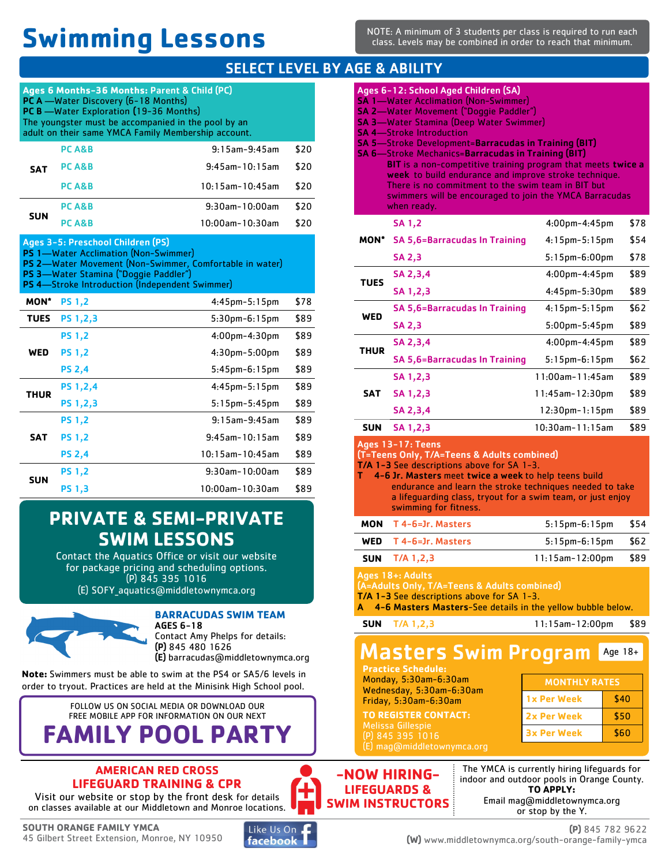# **Swimming Lessons**

NOTE: A minimum of 3 students per class is required to run each class. Levels may be combined in order to reach that minimum.

#### SELECT LEVEL BY AGE & ABILITY

| Ages 6 Months-36 Months: Parent & Child (PC)<br>PC A -Water Discovery (6-18 Months)<br><b>PC B</b> - Water Exploration (19-36 Months)<br>The youngster must be accompanied in the pool by an<br>adult on their same YMCA Family Membership account. |                                                                                                                                                                              |                                                         |      |
|-----------------------------------------------------------------------------------------------------------------------------------------------------------------------------------------------------------------------------------------------------|------------------------------------------------------------------------------------------------------------------------------------------------------------------------------|---------------------------------------------------------|------|
|                                                                                                                                                                                                                                                     | PC A&B                                                                                                                                                                       | $9:15$ am- $9:45$ am                                    | \$20 |
| <b>SAT</b>                                                                                                                                                                                                                                          | <b>PCA&amp;B</b>                                                                                                                                                             | $9:45$ am-10:15am                                       | \$20 |
|                                                                                                                                                                                                                                                     | PC A&B                                                                                                                                                                       | $10:15$ am- $10:45$ am                                  | \$20 |
|                                                                                                                                                                                                                                                     | PC A&B                                                                                                                                                                       | 9:30am-10:00am                                          | \$20 |
| <b>SUN</b>                                                                                                                                                                                                                                          | PC A&B                                                                                                                                                                       | $10:00$ am - $10:30$ am                                 | \$20 |
|                                                                                                                                                                                                                                                     | Ages 3-5: Preschool Children (PS)<br>PS 1-Water Acclimation (Non-Swimmer)<br>PS 3-Water Stamina ("Doggie Paddler")<br><b>PS 4</b> —Stroke Introduction (Independent Swimmer) | PS 2-Water Movement (Non-Swimmer, Comfortable in water) |      |
| <b>MON*</b>                                                                                                                                                                                                                                         | <b>PS 1,2</b>                                                                                                                                                                | 4:45pm-5:15pm                                           | \$78 |
| <b>TUES</b>                                                                                                                                                                                                                                         | <b>PS 1,2,3</b>                                                                                                                                                              | 5:30pm-6:15pm                                           | \$89 |
|                                                                                                                                                                                                                                                     | <b>PS 1.2</b>                                                                                                                                                                | 4:00pm-4:30pm                                           | \$89 |
| <b>WED</b>                                                                                                                                                                                                                                          | <b>PS 1,2</b>                                                                                                                                                                | 4:30pm-5:00pm                                           | \$89 |
|                                                                                                                                                                                                                                                     | <b>PS 2,4</b>                                                                                                                                                                | $5:45$ pm- $6:15$ pm                                    | \$89 |
| <b>THUR</b>                                                                                                                                                                                                                                         | PS 1,2,4                                                                                                                                                                     | $4:45$ pm $-5:15$ pm                                    | \$89 |
|                                                                                                                                                                                                                                                     | PS 1,2,3                                                                                                                                                                     | $5:15$ pm $-5:45$ pm                                    | \$89 |
|                                                                                                                                                                                                                                                     | <b>PS 1.2</b>                                                                                                                                                                | $9:15$ am- $9:45$ am                                    | \$89 |
| <b>SAT</b>                                                                                                                                                                                                                                          | <b>PS 1,2</b>                                                                                                                                                                | $9:45$ am-10:15am                                       | \$89 |
|                                                                                                                                                                                                                                                     | <b>PS 2,4</b>                                                                                                                                                                | $10:15$ am - $10:45$ am                                 | \$89 |
| <b>SUN</b>                                                                                                                                                                                                                                          | <b>PS 1,2</b>                                                                                                                                                                | 9:30am-10:00am                                          | \$89 |
|                                                                                                                                                                                                                                                     | <b>PS 1,3</b>                                                                                                                                                                | 10:00am-10:30am                                         | \$89 |

### **PRIVATE & SEMI-PRIVATE SWIM LESSONS**

Contact the Aquatics Office or visit our website for package pricing and scheduling options. (P) 845 395 1016 (E) SOFY\_aquatics@middletownymca.org



**BARRACUDAS SWIM TEAM**

AGES 6-18 Contact Amy Phelps for details: (P) 845 480 1626 (E) barracudas@middletownymca.org

**Note:** Swimmers must be able to swim at the PS4 or SA5/6 levels in order to tryout. Practices are held at the Minisink High School pool.



#### **AMERICAN RED CROSS LIFEGUARD TRAINING & CPR**

Visit our website or stop by the front desk for details on classes available at our Middletown and Monroe locations.



facebook

| Ages 6-12: School Aged Children (SA)<br><b>SA 1—Water Acclimation (Non-Swimmer)</b><br>SA 2-Water Movement ("Doggie Paddler")<br><b>SA 3-Water Stamina (Deep Water Swimmer)</b><br><b>SA 4-Stroke Introduction</b><br>SA 5-Stroke Development=Barracudas in Training (BIT)<br><b>SA 6-Stroke Mechanics=Barracudas in Training (BIT)</b><br>BIT is a non-competitive training program that meets twice a<br>week to build endurance and improve stroke technique.<br>There is no commitment to the swim team in BIT but<br>swimmers will be encouraged to join the YMCA Barracudas<br>when ready. |                                                                                                                                                                                                                                                                                                                             |                        |      |
|--------------------------------------------------------------------------------------------------------------------------------------------------------------------------------------------------------------------------------------------------------------------------------------------------------------------------------------------------------------------------------------------------------------------------------------------------------------------------------------------------------------------------------------------------------------------------------------------------|-----------------------------------------------------------------------------------------------------------------------------------------------------------------------------------------------------------------------------------------------------------------------------------------------------------------------------|------------------------|------|
|                                                                                                                                                                                                                                                                                                                                                                                                                                                                                                                                                                                                  | <b>SA 1,2</b>                                                                                                                                                                                                                                                                                                               | $4:00$ pm $-4:45$ pm   | \$78 |
| MON*                                                                                                                                                                                                                                                                                                                                                                                                                                                                                                                                                                                             | <b>SA 5,6=Barracudas In Training</b>                                                                                                                                                                                                                                                                                        | $4:15$ pm – $5:15$ pm  | \$54 |
|                                                                                                                                                                                                                                                                                                                                                                                                                                                                                                                                                                                                  | SA 2,3                                                                                                                                                                                                                                                                                                                      | 5:15pm-6:00pm          | \$78 |
| TUES                                                                                                                                                                                                                                                                                                                                                                                                                                                                                                                                                                                             | SA 2,3,4                                                                                                                                                                                                                                                                                                                    | $4:00$ pm $-4:45$ pm   | \$89 |
|                                                                                                                                                                                                                                                                                                                                                                                                                                                                                                                                                                                                  | SA 1,2,3                                                                                                                                                                                                                                                                                                                    | 4:45pm-5:30pm          | \$89 |
| WED                                                                                                                                                                                                                                                                                                                                                                                                                                                                                                                                                                                              | <b>SA 5,6=Barracudas In Training</b>                                                                                                                                                                                                                                                                                        | $4:15$ pm – $5:15$ pm  | \$62 |
|                                                                                                                                                                                                                                                                                                                                                                                                                                                                                                                                                                                                  | SA 2,3                                                                                                                                                                                                                                                                                                                      | $5:00$ pm- $5:45$ pm   | \$89 |
| <b>THUR</b>                                                                                                                                                                                                                                                                                                                                                                                                                                                                                                                                                                                      | SA 2,3,4                                                                                                                                                                                                                                                                                                                    | $4:00$ pm $-4:45$ pm   | \$89 |
|                                                                                                                                                                                                                                                                                                                                                                                                                                                                                                                                                                                                  | <b>SA 5,6=Barracudas In Training</b>                                                                                                                                                                                                                                                                                        | 5:15pm-6:15pm          | \$62 |
|                                                                                                                                                                                                                                                                                                                                                                                                                                                                                                                                                                                                  | SA 1,2,3                                                                                                                                                                                                                                                                                                                    | 11:00am-11:45am        | \$89 |
| <b>SAT</b>                                                                                                                                                                                                                                                                                                                                                                                                                                                                                                                                                                                       | SA 1,2,3                                                                                                                                                                                                                                                                                                                    | 11:45am-12:30pm        | \$89 |
|                                                                                                                                                                                                                                                                                                                                                                                                                                                                                                                                                                                                  | SA 2,3,4                                                                                                                                                                                                                                                                                                                    | 12:30pm-1:15pm         | \$89 |
| <b>SUN</b>                                                                                                                                                                                                                                                                                                                                                                                                                                                                                                                                                                                       | SA 1,2,3                                                                                                                                                                                                                                                                                                                    | 10:30am-11:15am        | \$89 |
| т                                                                                                                                                                                                                                                                                                                                                                                                                                                                                                                                                                                                | Ages 13-17: Teens<br>(T=Teens Only, T/A=Teens & Adults combined)<br>T/A 1-3 See descriptions above for SA 1-3.<br>4-6 Jr. Masters meet twice a week to help teens build<br>endurance and learn the stroke techniques needed to take<br>a lifequarding class, tryout for a swim team, or just enjoy<br>swimming for fitness. |                        |      |
| <b>MON</b>                                                                                                                                                                                                                                                                                                                                                                                                                                                                                                                                                                                       | T 4-6=Jr. Masters                                                                                                                                                                                                                                                                                                           | 5:15pm-6:15pm          | \$54 |
| <b>WED</b>                                                                                                                                                                                                                                                                                                                                                                                                                                                                                                                                                                                       | T 4-6=Jr. Masters                                                                                                                                                                                                                                                                                                           | 5:15pm-6:15pm          | \$62 |
| SUN                                                                                                                                                                                                                                                                                                                                                                                                                                                                                                                                                                                              | $T/A$ 1,2,3                                                                                                                                                                                                                                                                                                                 | $11:15$ am- $12:00$ pm | \$89 |
| <b>Ages 18+: Adults</b><br>(A=Adults Only, T/A=Teens & Adults combined)<br>T/A 1-3 See descriptions above for SA 1-3.<br>4-6 Masters Masters-See details in the yellow bubble below.<br>A                                                                                                                                                                                                                                                                                                                                                                                                        |                                                                                                                                                                                                                                                                                                                             |                        |      |
| <b>SUN</b>                                                                                                                                                                                                                                                                                                                                                                                                                                                                                                                                                                                       | $T/A$ 1,2,3                                                                                                                                                                                                                                                                                                                 | 11:15am-12:00pm        | \$89 |

#### Masters Swim Program Age 18+

**Practice Schedule:**  Monday, 5:30am-6:30am Wednesday, 5:30am-6:30am Friday, 5:30am-6:30am

**TO REGISTER CONTACT:** (P) 845 395 1016

| <b>MONTHLY RATES</b> |      |  |
|----------------------|------|--|
| <b>1x Per Week</b>   | \$40 |  |
| 2x Per Week          | \$50 |  |
| <b>3x Per Week</b>   | \$60 |  |

**-NOW HIRING-LIFEGUARDS & SWIM INSTRUCTORS**

The YMCA is currently hiring lifeguards for indoor and outdoor pools in Orange County. **TO APPLY:** Email mag@middletownymca.org or stop by the Y.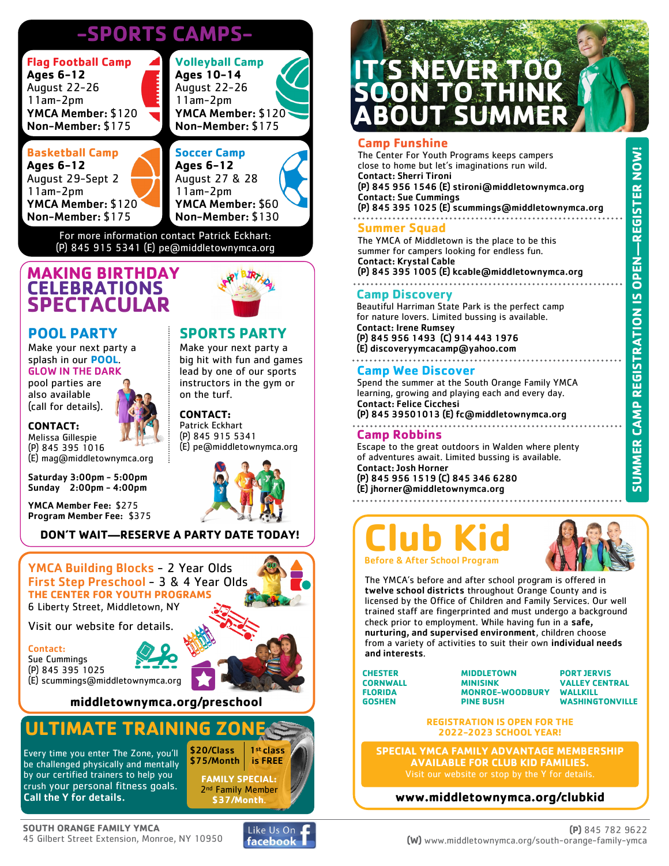## **-SPORTS CAMPS-**

| <b>Flag Football Camp</b><br><b>Ages 6-12</b><br>August 22-26<br>11am-2pm<br>YMCA Member: \$120<br>Non-Member: \$175 | <b>Volleyball Camp</b><br><b>Ages 10-14</b><br>August 22-26<br>$11am-2pm$<br>YMCA Member: \$120<br>Non-Member: \$175 |
|----------------------------------------------------------------------------------------------------------------------|----------------------------------------------------------------------------------------------------------------------|
| <b>Basketball Camp</b><br><b>Ages 6-12</b><br>August 29-Sept 2<br>$11am-2pm$                                         | <b>Soccer Camp</b><br><b>Ages 6-12</b><br>August 27 & 28<br>$11am-2pm$                                               |

11am-2pm YMCA Member: \$60 Non-Member: \$130

**SPORTS PARTY** Make your next party a big hit with fun and games lead by one of our sports instructors in the gym or

(E) pe@middletownymca.org

on the turf. **CONTACT:** Patrick Eckhart (P) 845 915 5341

For more information contact Patrick Eckhart: (P) 845 915 5341 (E) pe@middletownymca.org

#### **MAKING BIRTHDAY CELEBRATIONS SPECTACULAR**

#### **POOL PARTY**

Make your next party a splash in our **POOL**.

YMCA Member: \$120 Non-Member: \$175

#### GLOW IN THE DARK pool parties are also available

(call for details).

#### **CONTACT:**

Melissa Gillespie (P) 845 395 1016 (E) mag@middletownymca.org

Saturday 3:00pm - 5:00pm Sunday 2:00pm - 4:00pm

YMCA Member Fee: \$275 Program Member Fee: \$375

#### **DON'T WAIT—RESERVE A PARTY DATE TODAY!**



Contact: Sue Cummings (P) 845 395 1025 (E) scummings@middletownymca.org

**middletownymca.org/preschool**

### **ULTIMATE TRAINING ZON**

Every time you enter The Zone, you'll be challenged physically and mentally by our certified trainers to help you crush your personal fitness goals. Call the Y for details.



1st class is FREE

**FAMILY SPECIAL:** 2<sup>nd</sup> Family Member **\$37/Month**.

\$20/Class \$75/Month

# **IT'S NEVER TOO SOON TO THINK ABOUT SUMMER**

#### **Camp Funshine**

The Center For Youth Programs keeps campers close to home but let's imaginations run wild. Contact: Sherri Tironi (P) 845 956 1546 (E) stironi@middletownymca.org Contact: Sue Cummings (P) 845 395 1025 (E) scummings@middletownymca.org 

#### **Summer Squad**

The YMCA of Middletown is the place to be this summer for campers looking for endless fun. Contact: Krystal Cable (P) 845 395 1005 (E) kcable@middletownymca.org

#### **Camp Discovery**

Beautiful Harriman State Park is the perfect camp for nature lovers. Limited bussing is available. Contact: Irene Rumsey

(P) 845 956 1493 (C) 914 443 1976 (E) discoveryymcacamp@yahoo.com

#### **Camp Wee Discover**

Spend the summer at the South Orange Family YMCA learning, growing and playing each and every day. Contact: Felice Cicchesi

(P) 845 39501013 (E) fc@middletownymca.org 

#### **Camp Robbins**

Escape to the great outdoors in Walden where plenty of adventures await. Limited bussing is available. Contact: Josh Horner

(P) 845 956 1519 (C) 845 346 6280 (E) jhorner@middletownymca.org

# **Club Kid** Before & After School Program

The YMCA's before and after school program is offered in twelve school districts throughout Orange County and is licensed by the Office of Children and Family Services. Our well trained staff are fingerprinted and must undergo a background check prior to employment. While having fun in a safe, nurturing, and supervised environment, children choose from a variety of activities to suit their own individual needs and interests.

**CHESTER CORNWALL FLORIDA GOSHEN**

**MIDDLETOWN MINISINK MONROE-WOODBURY PINE BUSH**

**PORT JERVIS VALLEY CENTRAL WALLKILL WASHINGTONVILLE**

**REGISTRATION IS OPEN FOR THE 2022-2023 SCHOOL YEAR!**

**SPECIAL YMCA FAMILY ADVANTAGE MEMBERSHIP AVAILABLE FOR CLUB KID FAMILIES.**

#### **www.middletownymca.org/clubkid**